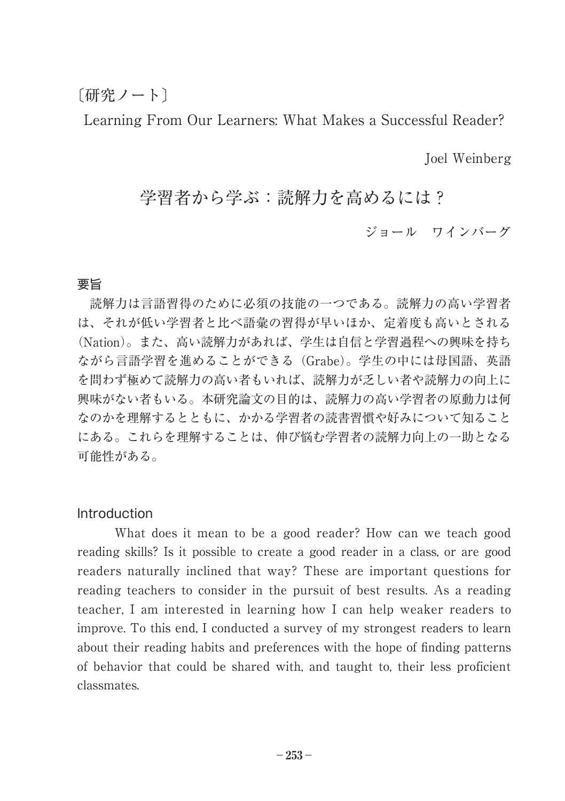### 〔研究ノート〕

Learning From Our Learners: What Makes a Successful Reader?

Joel Weinberg

# 学習者から学ぶ:読解力を高めるには?

ジョール ワインバーグ

#### 要旨

読解力は言語習得のために必須の技能の一つである。読解力の高い学習者 は、それが低い学習者と比べ語彙の習得が早いほか、定着度も高いとされる (Nation)。また、高い読解力があれば、学生は自信と学習過程への興味を持ち ながら言語学習を進めることができる(Grabe)。学生の中には母国語、英語 を問わず極めて読解力の高い者もいれば、読解力が乏しい者や読解力の向上に 興味がない者もいる。本研究論文の目的は、読解力の高い学習者の原動力は何 なのかを理解するとともに、かかる学習者の読書習慣や好みについて知ること にある。これらを理解することは、伸び悩む学習者の読解力向上の一助となる 可能性がある。

#### Introduction

What does it mean to be a good reader? How can we teach good reading skills? Is it possible to create a good reader in a class, or are good readers naturally inclined that way? These are important questions for reading teachers to consider in the pursuit of best results. As a reading teacher, I am interested in learning how I can help weaker readers to improve. To this end, I conducted a survey of my strongest readers to learn about their reading habits and preferences with the hope of finding patterns of behavior that could be shared with, and taught to, their less proficient classmates.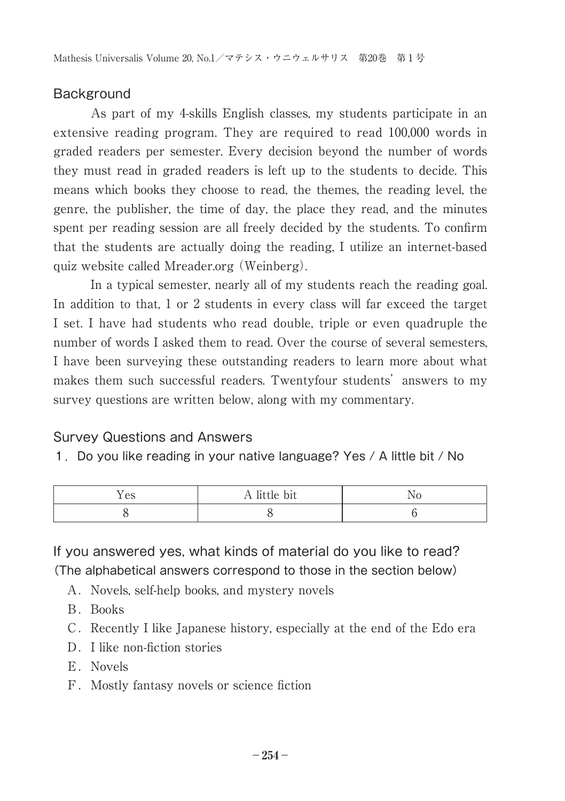#### **Background**

As part of my 4-skills English classes, my students participate in an extensive reading program. They are required to read 100,000 words in graded readers per semester. Every decision beyond the number of words they must read in graded readers is left up to the students to decide. This means which books they choose to read, the themes, the reading level, the genre, the publisher, the time of day, the place they read, and the minutes spent per reading session are all freely decided by the students. To confirm that the students are actually doing the reading, I utilize an internet-based quiz website called Mreader.org (Weinberg).

In a typical semester, nearly all of my students reach the reading goal. In addition to that, 1 or 2 students in every class will far exceed the target I set. I have had students who read double, triple or even quadruple the number of words I asked them to read. Over the course of several semesters, I have been surveying these outstanding readers to learn more about what makes them such successful readers. Twentyfour students' answers to my survey questions are written below, along with my commentary.

#### Survey Questions and Answers

1.Do you like reading in your native language? Yes / A little bit / No

| - -<br>AC<br>い | <b>DIL</b><br>$\cdots$ |  |
|----------------|------------------------|--|
|                |                        |  |

If you answered yes, what kinds of material do you like to read? (The alphabetical answers correspond to those in the section below)

- A. Novels, self-help books, and mystery novels
- B.Books
- C. Recently I like Japanese history, especially at the end of the Edo era
- D. I like non-fiction stories
- E.Novels
- F.Mostly fantasy novels or science fiction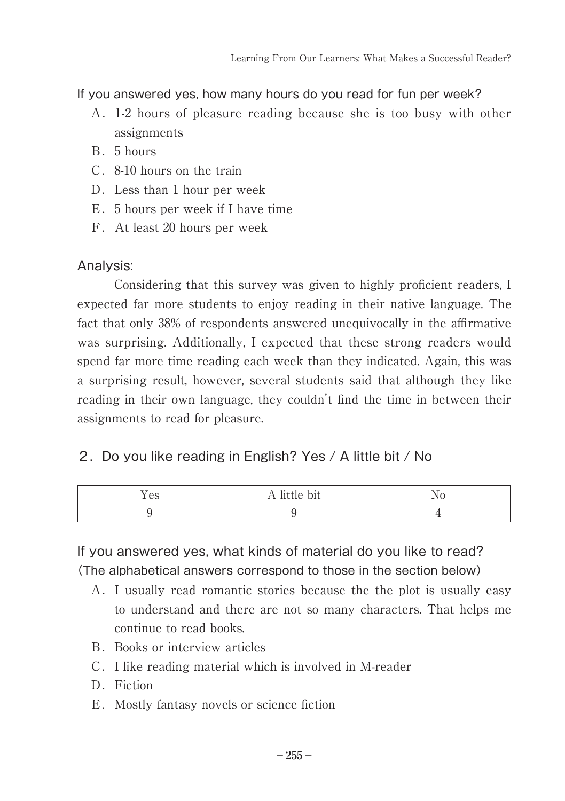If you answered yes, how many hours do you read for fun per week?

- A.1-2 hours of pleasure reading because she is too busy with other assignments
- B.5 hours
- C.8-10 hours on the train
- D. Less than 1 hour per week
- E.5 hours per week if I have time
- F.At least 20 hours per week

### Analysis:

Considering that this survey was given to highly proficient readers, I expected far more students to enjoy reading in their native language. The fact that only 38% of respondents answered unequivocally in the affirmative was surprising. Additionally, I expected that these strong readers would spend far more time reading each week than they indicated. Again, this was a surprising result, however, several students said that although they like reading in their own language, they couldn't find the time in between their assignments to read for pleasure.

### 2.Do you like reading in English? Yes / A little bit / No

| AC<br>エレビ | TT HILLIC DIL |  |
|-----------|---------------|--|
|           |               |  |

If you answered yes, what kinds of material do you like to read? (The alphabetical answers correspond to those in the section below)

- A.I usually read romantic stories because the the plot is usually easy to understand and there are not so many characters. That helps me continue to read books.
- B.Books or interview articles
- C.I like reading material which is involved in M-reader
- D. Fiction
- E. Mostly fantasy novels or science fiction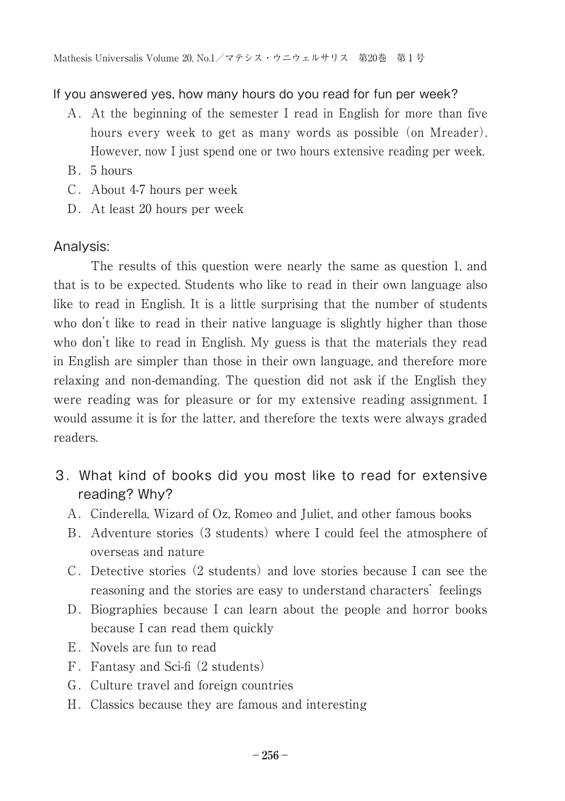#### If you answered yes, how many hours do you read for fun per week?

- A.At the beginning of the semester I read in English for more than five hours every week to get as many words as possible (on Mreader). However, now I just spend one or two hours extensive reading per week.
- B.5 hours
- C.About 4-7 hours per week
- D. At least 20 hours per week

#### Analysis:

The results of this question were nearly the same as question 1, and that is to be expected. Students who like to read in their own language also like to read in English. It is a little surprising that the number of students who don't like to read in their native language is slightly higher than those who don't like to read in English. My guess is that the materials they read in English are simpler than those in their own language, and therefore more relaxing and non-demanding. The question did not ask if the English they were reading was for pleasure or for my extensive reading assignment. I would assume it is for the latter, and therefore the texts were always graded readers.

- 3.What kind of books did you most like to read for extensive reading? Why?
	- A.Cinderella, Wizard of Oz, Romeo and Juliet, and other famous books
	- B.Adventure stories (3 students) where I could feel the atmosphere of overseas and nature
	- C.Detective stories (2 students) and love stories because I can see the reasoning and the stories are easy to understand characters' feelings
	- D. Biographies because I can learn about the people and horror books because I can read them quickly
	- E.Novels are fun to read
	- F.Fantasy and Sci-fi (2 students)
	- G.Culture travel and foreign countries
	- H.Classics because they are famous and interesting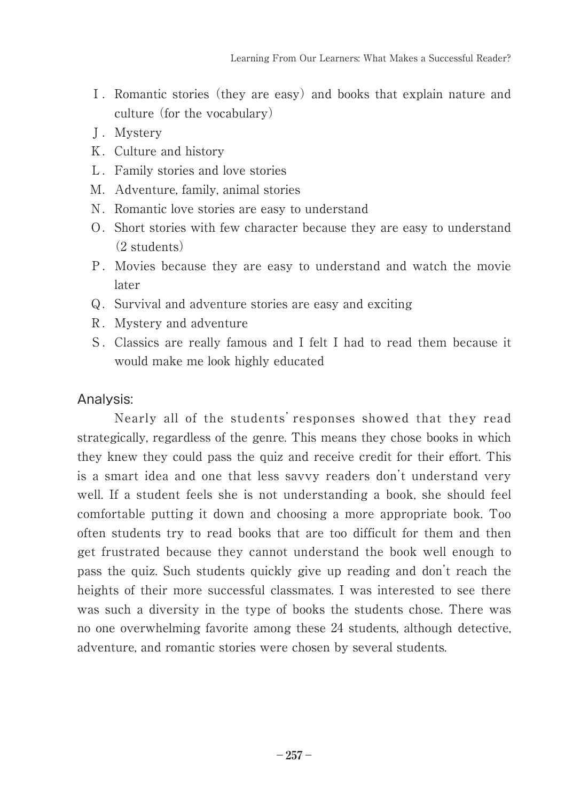- I. Romantic stories (they are easy) and books that explain nature and culture (for the vocabulary)
- J.Mystery
- K.Culture and history
- L.Family stories and love stories
- M. Adventure, family, animal stories
- N. Romantic love stories are easy to understand
- O.Short stories with few character because they are easy to understand (2 students)
- P.Movies because they are easy to understand and watch the movie later
- Q. Survival and adventure stories are easy and exciting
- R.Mystery and adventure
- S.Classics are really famous and I felt I had to read them because it would make me look highly educated

#### Analysis:

Nearly all of the students' responses showed that they read strategically, regardless of the genre. This means they chose books in which they knew they could pass the quiz and receive credit for their effort. This is a smart idea and one that less savvy readers don't understand very well. If a student feels she is not understanding a book, she should feel comfortable putting it down and choosing a more appropriate book. Too often students try to read books that are too difficult for them and then get frustrated because they cannot understand the book well enough to pass the quiz. Such students quickly give up reading and don't reach the heights of their more successful classmates. I was interested to see there was such a diversity in the type of books the students chose. There was no one overwhelming favorite among these 24 students, although detective, adventure, and romantic stories were chosen by several students.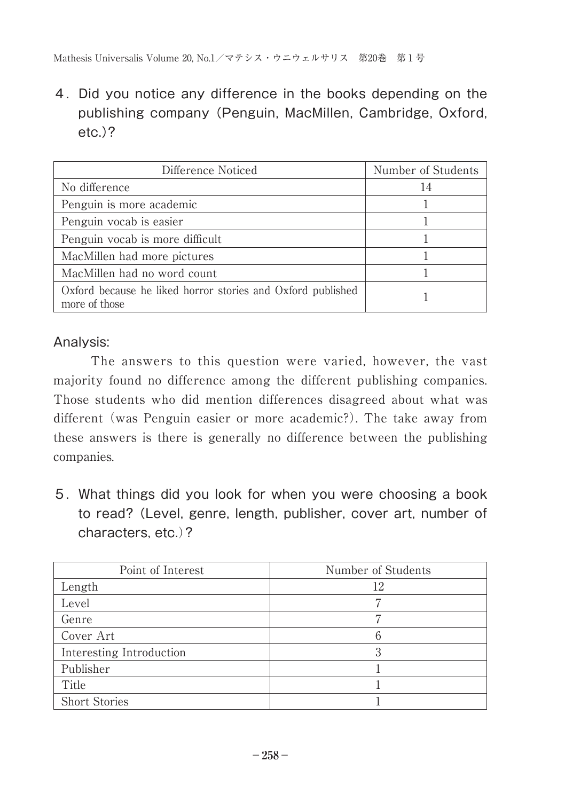4.Did you notice any difference in the books depending on the publishing company (Penguin, MacMillen, Cambridge, Oxford, etc.)?

| Difference Noticed                                                           | Number of Students |
|------------------------------------------------------------------------------|--------------------|
| No difference                                                                | 14                 |
| Penguin is more academic                                                     |                    |
| Penguin vocab is easier                                                      |                    |
| Penguin vocab is more difficult                                              |                    |
| MacMillen had more pictures                                                  |                    |
| MacMillen had no word count                                                  |                    |
| Oxford because he liked horror stories and Oxford published<br>more of those |                    |

### Analysis:

The answers to this question were varied, however, the vast majority found no difference among the different publishing companies. Those students who did mention differences disagreed about what was different (was Penguin easier or more academic?). The take away from these answers is there is generally no difference between the publishing companies.

5.What things did you look for when you were choosing a book to read? (Level, genre, length, publisher, cover art, number of characters, etc.)?

| Point of Interest        | Number of Students |
|--------------------------|--------------------|
| Length                   | 12                 |
| Level                    |                    |
| Genre                    |                    |
| Cover Art                |                    |
| Interesting Introduction |                    |
| Publisher                |                    |
| Title                    |                    |
| <b>Short Stories</b>     |                    |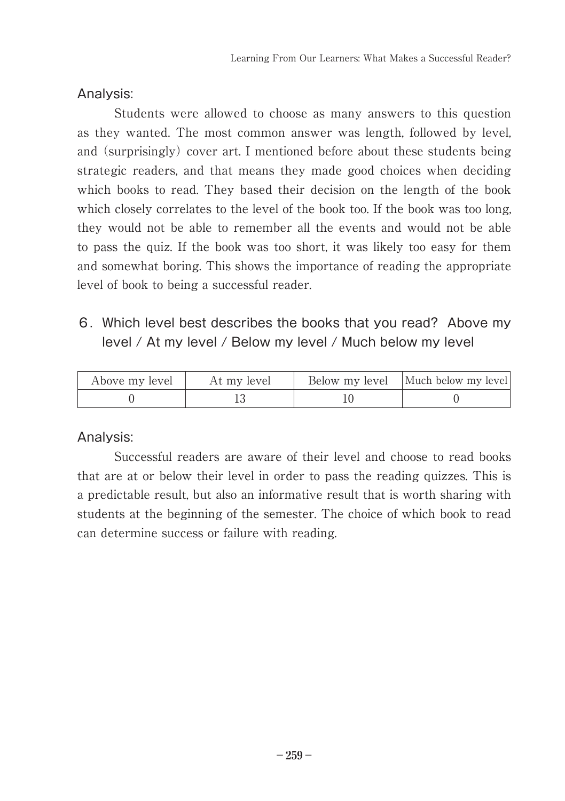#### Analysis:

Students were allowed to choose as many answers to this question as they wanted. The most common answer was length, followed by level, and (surprisingly) cover art. I mentioned before about these students being strategic readers, and that means they made good choices when deciding which books to read. They based their decision on the length of the book which closely correlates to the level of the book too. If the book was too long, they would not be able to remember all the events and would not be able to pass the quiz. If the book was too short, it was likely too easy for them and somewhat boring. This shows the importance of reading the appropriate level of book to being a successful reader.

# 6.Which level best describes the books that you read? Above my level / At my level / Below my level / Much below my level

| Above my level | At my level | Below my level   Much below my level |
|----------------|-------------|--------------------------------------|
|                |             |                                      |

#### Analysis:

Successful readers are aware of their level and choose to read books that are at or below their level in order to pass the reading quizzes. This is a predictable result, but also an informative result that is worth sharing with students at the beginning of the semester. The choice of which book to read can determine success or failure with reading.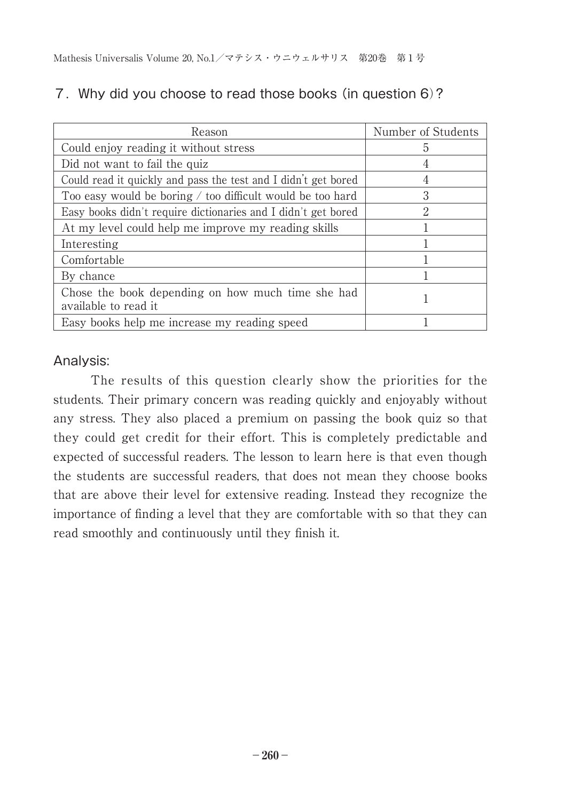| Reason                                                                    | Number of Students |
|---------------------------------------------------------------------------|--------------------|
| Could enjoy reading it without stress                                     | 5                  |
| Did not want to fail the quiz                                             |                    |
| Could read it quickly and pass the test and I didn't get bored            |                    |
| Too easy would be boring $\ell$ too difficult would be too hard           | 3                  |
| Easy books didn't require dictionaries and I didn't get bored             | 2                  |
| At my level could help me improve my reading skills                       |                    |
| Interesting                                                               |                    |
| Comfortable                                                               |                    |
| By chance                                                                 |                    |
| Chose the book depending on how much time she had<br>available to read it |                    |
| Easy books help me increase my reading speed                              |                    |

### 7.Why did you choose to read those books (in question 6)?

# Analysis:

The results of this question clearly show the priorities for the students. Their primary concern was reading quickly and enjoyably without any stress. They also placed a premium on passing the book quiz so that they could get credit for their effort. This is completely predictable and expected of successful readers. The lesson to learn here is that even though the students are successful readers, that does not mean they choose books that are above their level for extensive reading. Instead they recognize the importance of finding a level that they are comfortable with so that they can read smoothly and continuously until they finish it.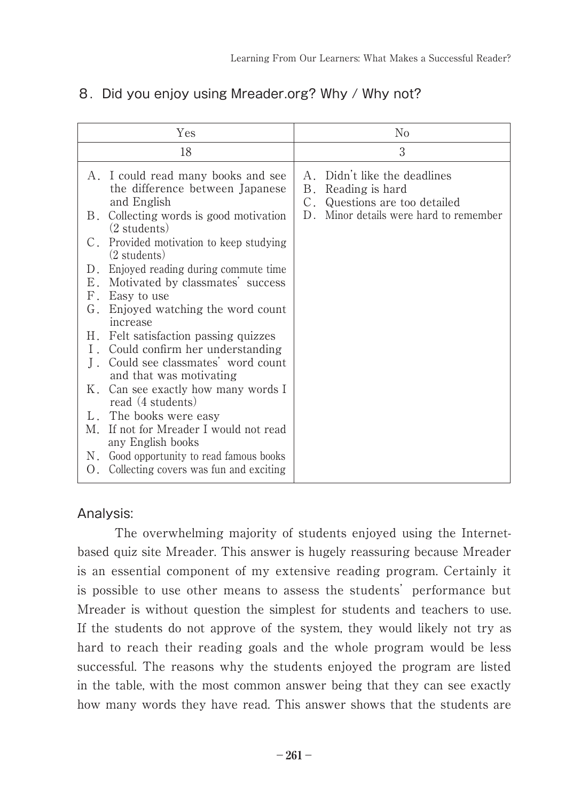| Yes                                                                                   | No                                                                                    |
|---------------------------------------------------------------------------------------|---------------------------------------------------------------------------------------|
| 18                                                                                    | 3                                                                                     |
| A. I could read many books and see<br>the difference between Japanese<br>and English  | Didn't like the deadlines<br>A<br>B. Reading is hard<br>C. Questions are too detailed |
| Collecting words is good motivation<br>В.<br>$(2 \text{ students})$                   | D. Minor details were hard to remember                                                |
| C. Provided motivation to keep studying<br>$(2 \text{ students})$                     |                                                                                       |
| D. Enjoyed reading during commute time.                                               |                                                                                       |
| E. Motivated by classmates' success                                                   |                                                                                       |
| F.<br>Easy to use                                                                     |                                                                                       |
| G.<br>Enjoyed watching the word count<br>increase                                     |                                                                                       |
| H. Felt satisfaction passing quizzes                                                  |                                                                                       |
| I. Could confirm her understanding                                                    |                                                                                       |
| Could see classmates' word count<br>and that was motivating                           |                                                                                       |
| K. Can see exactly how many words I<br>read (4 students)                              |                                                                                       |
| L. The books were easy                                                                |                                                                                       |
| M. If not for Mreader I would not read<br>any English books                           |                                                                                       |
| N. Good opportunity to read famous books<br>O. Collecting covers was fun and exciting |                                                                                       |

### 8. Did you enjoy using Mreader.org? Why / Why not?

#### Analysis:

The overwhelming majority of students enjoyed using the Internetbased quiz site Mreader. This answer is hugely reassuring because Mreader is an essential component of my extensive reading program. Certainly it is possible to use other means to assess the students' performance but Mreader is without question the simplest for students and teachers to use. If the students do not approve of the system, they would likely not try as hard to reach their reading goals and the whole program would be less successful. The reasons why the students enjoyed the program are listed in the table, with the most common answer being that they can see exactly how many words they have read. This answer shows that the students are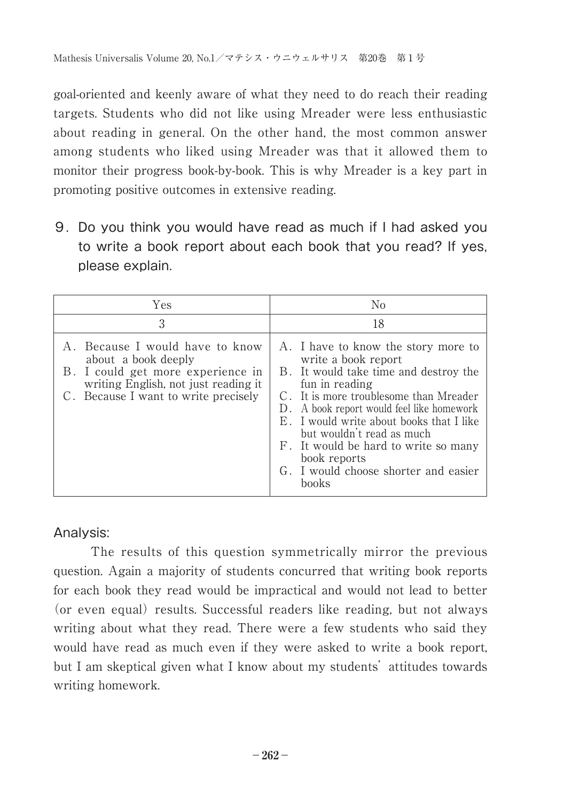goal-oriented and keenly aware of what they need to do reach their reading targets. Students who did not like using Mreader were less enthusiastic about reading in general. On the other hand, the most common answer among students who liked using Mreader was that it allowed them to monitor their progress book-by-book. This is why Mreader is a key part in promoting positive outcomes in extensive reading.

9.Do you think you would have read as much if I had asked you to write a book report about each book that you read? If yes, please explain.

| Yes                                                                                                                                                                          | No                                                                                                                                                                                                                                                                                                                                                                                             |
|------------------------------------------------------------------------------------------------------------------------------------------------------------------------------|------------------------------------------------------------------------------------------------------------------------------------------------------------------------------------------------------------------------------------------------------------------------------------------------------------------------------------------------------------------------------------------------|
| 3                                                                                                                                                                            | 18                                                                                                                                                                                                                                                                                                                                                                                             |
| A. Because I would have to know<br>about a book deeply<br>B. I could get more experience in<br>writing English, not just reading it.<br>C. Because I want to write precisely | A. I have to know the story more to<br>write a book report<br>B. It would take time and destroy the<br>fun in reading<br>C. It is more troublesome than Mreader<br>D. A book report would feel like homework<br>E. I would write about books that I like<br>but wouldn't read as much<br>F. It would be hard to write so many<br>book reports<br>G. I would choose shorter and easier<br>books |

### Analysis:

The results of this question symmetrically mirror the previous question. Again a majority of students concurred that writing book reports for each book they read would be impractical and would not lead to better (or even equal) results. Successful readers like reading, but not always writing about what they read. There were a few students who said they would have read as much even if they were asked to write a book report, but I am skeptical given what I know about my students' attitudes towards writing homework.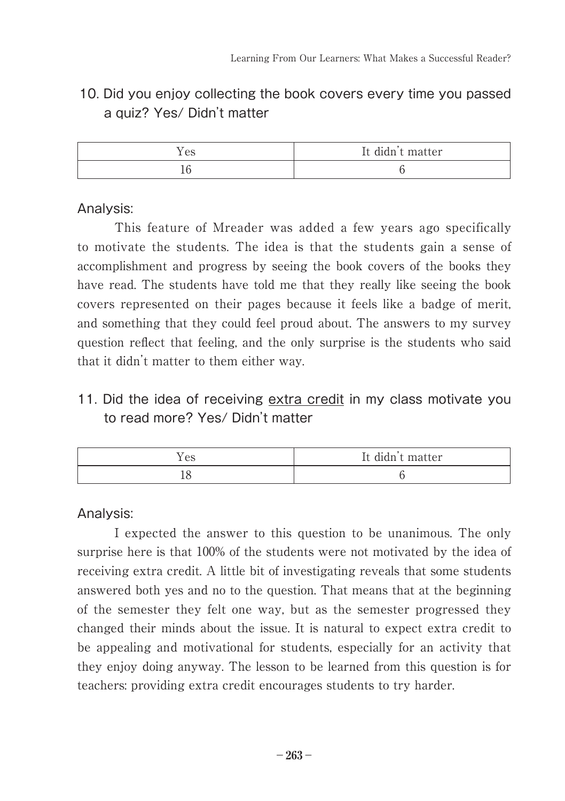# 10. Did you enjoy collecting the book covers every time you passed a quiz? Yes/ Didn't matter

| es | .<br>didn t matter<br>ᅩ |
|----|-------------------------|
|    |                         |

#### Analysis:

This feature of Mreader was added a few years ago specifically to motivate the students. The idea is that the students gain a sense of accomplishment and progress by seeing the book covers of the books they have read. The students have told me that they really like seeing the book covers represented on their pages because it feels like a badge of merit, and something that they could feel proud about. The answers to my survey question reflect that feeling, and the only surprise is the students who said that it didn't matter to them either way.

# 11. Did the idea of receiving extra credit in my class motivate you to read more? Yes/ Didn't matter

| es | $\cdots$<br>It didn't matter |
|----|------------------------------|
|    |                              |

Analysis:

I expected the answer to this question to be unanimous. The only surprise here is that 100% of the students were not motivated by the idea of receiving extra credit. A little bit of investigating reveals that some students answered both yes and no to the question. That means that at the beginning of the semester they felt one way, but as the semester progressed they changed their minds about the issue. It is natural to expect extra credit to be appealing and motivational for students, especially for an activity that they enjoy doing anyway. The lesson to be learned from this question is for teachers: providing extra credit encourages students to try harder.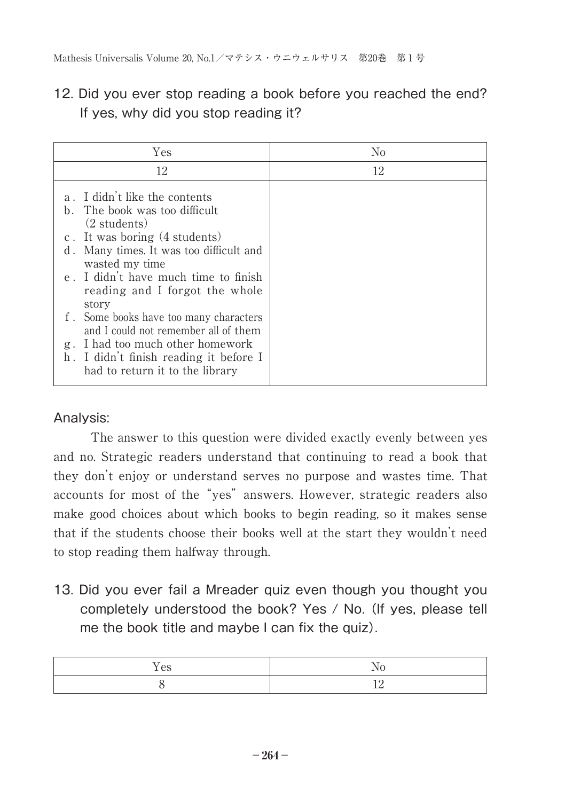# 12. Did you ever stop reading a book before you reached the end? If yes, why did you stop reading it?

| Yes                                                                                                                       | No |
|---------------------------------------------------------------------------------------------------------------------------|----|
| 12                                                                                                                        | 12 |
| a. I didn't like the contents<br>b. The book was too difficult<br>$(2 \text{ students})$<br>c. It was boring (4 students) |    |
| d. Many times. It was too difficult and<br>wasted my time                                                                 |    |
| e. I didn't have much time to finish<br>reading and I forgot the whole<br>story                                           |    |
| f. Some books have too many characters<br>and I could not remember all of them                                            |    |
| g. I had too much other homework<br>h. I didn't finish reading it before I<br>had to return it to the library             |    |

### Analysis:

The answer to this question were divided exactly evenly between yes and no. Strategic readers understand that continuing to read a book that they don't enjoy or understand serves no purpose and wastes time. That accounts for most of the "yes" answers. However, strategic readers also make good choices about which books to begin reading, so it makes sense that if the students choose their books well at the start they wouldn't need to stop reading them halfway through.

13. Did you ever fail a Mreader quiz even though you thought you completely understood the book? Yes / No. (If yes, please tell me the book title and maybe I can fix the quiz).

| $\sim$ $\sim$ |  |
|---------------|--|
|               |  |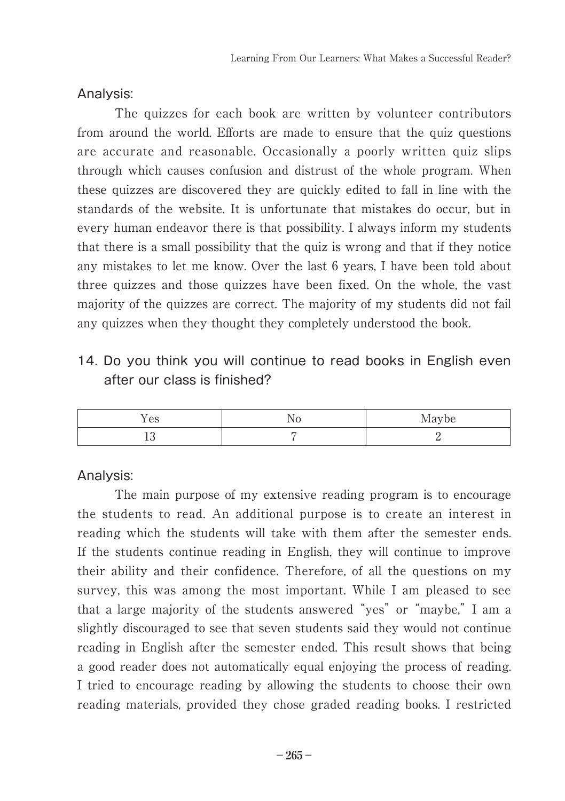Analysis:

The quizzes for each book are written by volunteer contributors from around the world. Efforts are made to ensure that the quiz questions are accurate and reasonable. Occasionally a poorly written quiz slips through which causes confusion and distrust of the whole program. When these quizzes are discovered they are quickly edited to fall in line with the standards of the website. It is unfortunate that mistakes do occur, but in every human endeavor there is that possibility. I always inform my students that there is a small possibility that the quiz is wrong and that if they notice any mistakes to let me know. Over the last 6 years, I have been told about three quizzes and those quizzes have been fixed. On the whole, the vast majority of the quizzes are correct. The majority of my students did not fail any quizzes when they thought they completely understood the book.

14. Do you think you will continue to read books in English even after our class is finished?

| - -<br>AC<br>v | Maybe |
|----------------|-------|
|                |       |

### Analysis:

The main purpose of my extensive reading program is to encourage the students to read. An additional purpose is to create an interest in reading which the students will take with them after the semester ends. If the students continue reading in English, they will continue to improve their ability and their confidence. Therefore, of all the questions on my survey, this was among the most important. While I am pleased to see that a large majority of the students answered "yes" or "maybe," I am a slightly discouraged to see that seven students said they would not continue reading in English after the semester ended. This result shows that being a good reader does not automatically equal enjoying the process of reading. I tried to encourage reading by allowing the students to choose their own reading materials, provided they chose graded reading books. I restricted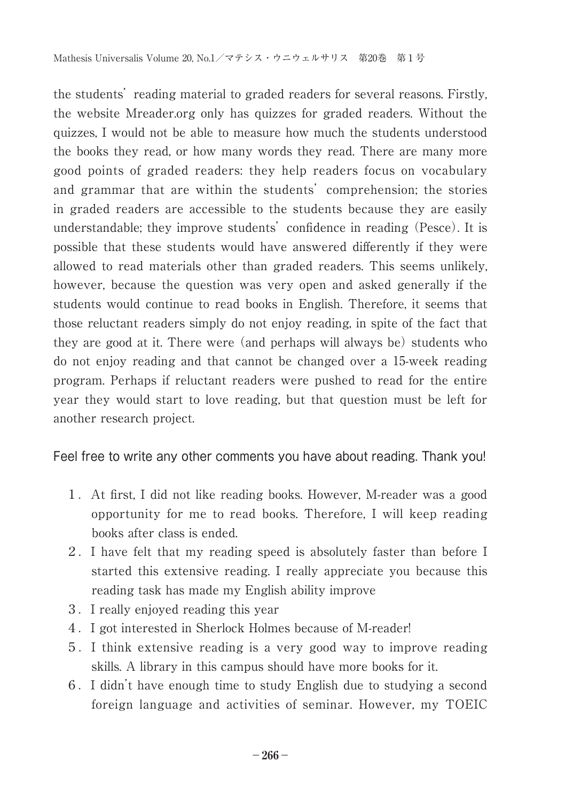the students' reading material to graded readers for several reasons. Firstly, the website Mreader.org only has quizzes for graded readers. Without the quizzes, I would not be able to measure how much the students understood the books they read, or how many words they read. There are many more good points of graded readers: they help readers focus on vocabulary and grammar that are within the students' comprehension; the stories in graded readers are accessible to the students because they are easily understandable; they improve students' confidence in reading (Pesce). It is possible that these students would have answered differently if they were allowed to read materials other than graded readers. This seems unlikely, however, because the question was very open and asked generally if the students would continue to read books in English. Therefore, it seems that those reluctant readers simply do not enjoy reading, in spite of the fact that they are good at it. There were (and perhaps will always be) students who do not enjoy reading and that cannot be changed over a 15-week reading program. Perhaps if reluctant readers were pushed to read for the entire year they would start to love reading, but that question must be left for another research project.

Feel free to write any other comments you have about reading. Thank you!

- 1.At first, I did not like reading books. However, M-reader was a good opportunity for me to read books. Therefore, I will keep reading books after class is ended.
- 2.I have felt that my reading speed is absolutely faster than before I started this extensive reading. I really appreciate you because this reading task has made my English ability improve
- 3.I really enjoyed reading this year
- 4.I got interested in Sherlock Holmes because of M-reader!
- 5.I think extensive reading is a very good way to improve reading skills. A library in this campus should have more books for it.
- 6.I didn't have enough time to study English due to studying a second foreign language and activities of seminar. However, my TOEIC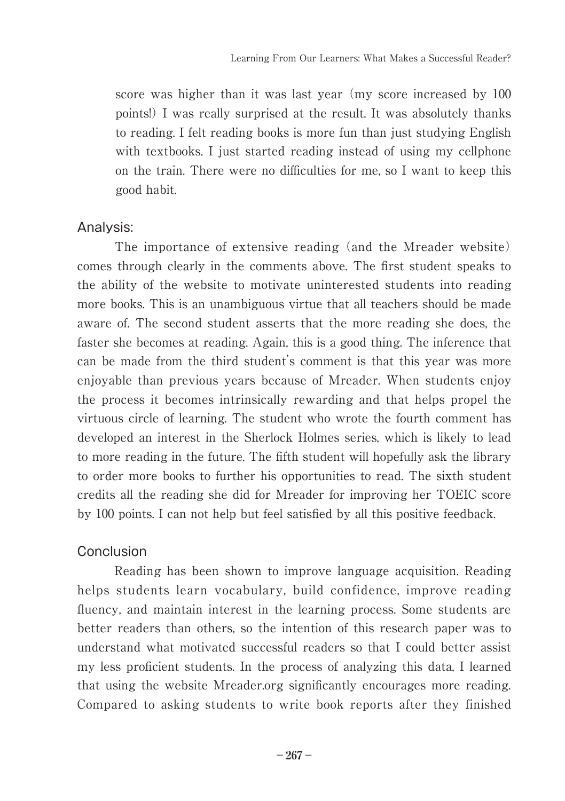score was higher than it was last year (my score increased by 100 points!) I was really surprised at the result. It was absolutely thanks to reading. I felt reading books is more fun than just studying English with textbooks. I just started reading instead of using my cellphone on the train. There were no difficulties for me, so I want to keep this good habit.

#### Analysis:

The importance of extensive reading (and the Mreader website) comes through clearly in the comments above. The first student speaks to the ability of the website to motivate uninterested students into reading more books. This is an unambiguous virtue that all teachers should be made aware of. The second student asserts that the more reading she does, the faster she becomes at reading. Again, this is a good thing. The inference that can be made from the third student's comment is that this year was more enjoyable than previous years because of Mreader. When students enjoy the process it becomes intrinsically rewarding and that helps propel the virtuous circle of learning. The student who wrote the fourth comment has developed an interest in the Sherlock Holmes series, which is likely to lead to more reading in the future. The fifth student will hopefully ask the library to order more books to further his opportunities to read. The sixth student credits all the reading she did for Mreader for improving her TOEIC score by 100 points. I can not help but feel satisfied by all this positive feedback.

### Conclusion

Reading has been shown to improve language acquisition. Reading helps students learn vocabulary, build confidence, improve reading fluency, and maintain interest in the learning process. Some students are better readers than others, so the intention of this research paper was to understand what motivated successful readers so that I could better assist my less proficient students. In the process of analyzing this data, I learned that using the website Mreader.org significantly encourages more reading. Compared to asking students to write book reports after they finished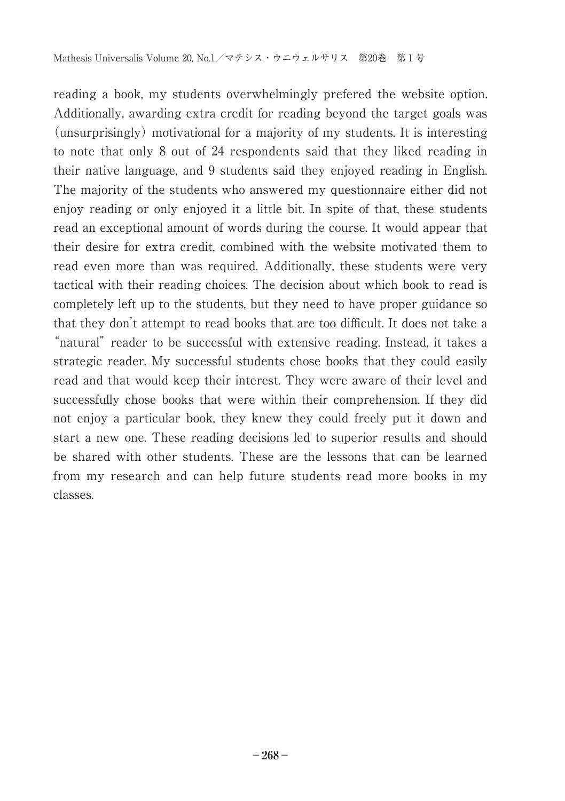reading a book, my students overwhelmingly prefered the website option. Additionally, awarding extra credit for reading beyond the target goals was (unsurprisingly) motivational for a majority of my students. It is interesting to note that only 8 out of 24 respondents said that they liked reading in their native language, and 9 students said they enjoyed reading in English. The majority of the students who answered my questionnaire either did not enjoy reading or only enjoyed it a little bit. In spite of that, these students read an exceptional amount of words during the course. It would appear that their desire for extra credit, combined with the website motivated them to read even more than was required. Additionally, these students were very tactical with their reading choices. The decision about which book to read is completely left up to the students, but they need to have proper guidance so that they don't attempt to read books that are too difficult. It does not take a "natural" reader to be successful with extensive reading. Instead, it takes a strategic reader. My successful students chose books that they could easily read and that would keep their interest. They were aware of their level and successfully chose books that were within their comprehension. If they did not enjoy a particular book, they knew they could freely put it down and start a new one. These reading decisions led to superior results and should be shared with other students. These are the lessons that can be learned from my research and can help future students read more books in my classes.